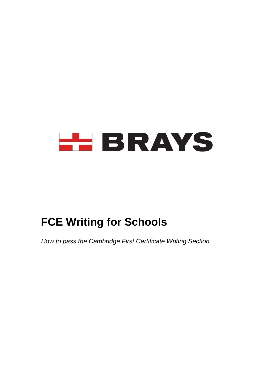

# **FCE Writing for Schools**

*How to pass the Cambridge First Certificate Writing Section*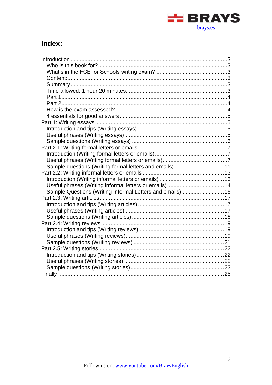

# Index:

| Sample questions (Writing formal letters and emails) 11    |  |
|------------------------------------------------------------|--|
|                                                            |  |
|                                                            |  |
|                                                            |  |
| Sample Questions (Writing Informal Letters and emails)  15 |  |
|                                                            |  |
|                                                            |  |
|                                                            |  |
|                                                            |  |
|                                                            |  |
|                                                            |  |
|                                                            |  |
|                                                            |  |
|                                                            |  |
|                                                            |  |
|                                                            |  |
|                                                            |  |
|                                                            |  |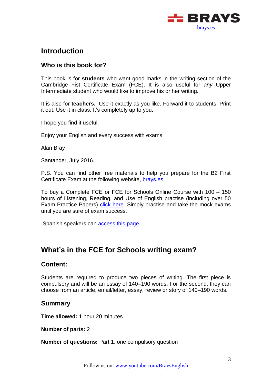

# <span id="page-2-0"></span>**Introduction**

# <span id="page-2-1"></span>**Who is this book for?**

This book is for **students** who want good marks in the writing section of the Cambridge Fist Certificate Exam (FCE). It is also useful for *any* Upper Intermediate student who would like to improve his or her writing.

It is also for **teachers.** Use it exactly as you like. Forward it to students. Print it out. Use it in class. It's completely up to you.

I hope you find it useful.

Enjoy your English and every success with exams.

Alan Bray

Santander, July 2016.

P.S. You can find other free materials to help you prepare for the B2 First Certificate Exam at the following website, [brays.es](http://brays.es/)

To buy a Complete FCE or FCE for Schools Online Course with 100 – 150 hours of Listening, Reading, and Use of English practise (including over 50 Exam Practice Papers) click [here.](https://brays.es/online/descripcion/) Simply practise and take the mock exams until you are sure of exam success.

Spanish speakers can [access this page.](https://brays.es/online/descripcion/)

# <span id="page-2-2"></span>**What's in the FCE for Schools writing exam?**

### <span id="page-2-3"></span>**Content:**

Students are required to produce two pieces of writing. The first piece is compulsory and will be an essay of 140–190 words. For the second, they can choose from an article, email/letter, essay, review or story of 140–190 words.

### <span id="page-2-4"></span>**Summary**

<span id="page-2-5"></span>**Time allowed:** 1 hour 20 minutes

**Number of parts:** 2

**Number of questions:** Part 1: one compulsory question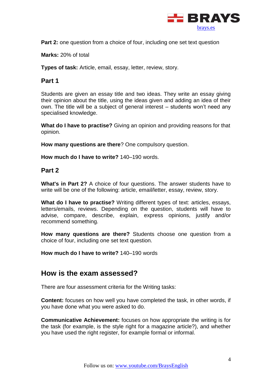

**Part 2:** one question from a choice of four, including one set text question

**Marks:** 20% of total

<span id="page-3-0"></span>**Types of task:** Article, email, essay, letter, review, story.

### **Part 1**

Students are given an essay title and two ideas. They write an essay giving their opinion about the title, using the ideas given and adding an idea of their own. The title will be a subject of general interest – students won't need any specialised knowledge.

**What do I have to practise?** Giving an opinion and providing reasons for that opinion.

**How many questions are there**? One compulsory question.

<span id="page-3-1"></span>**How much do I have to write?** 140–190 words.

#### **Part 2**

**What's in Part 2?** A choice of four questions. The answer students have to write will be one of the following: article, email/letter, essay, review, story.

**What do I have to practise?** Writing different types of text: articles, essays, letters/emails, reviews. Depending on the question, students will have to advise, compare, describe, explain, express opinions, justify and/or recommend something.

**How many questions are there?** Students choose one question from a choice of four, including one set text question.

**How much do I have to write?** 140–190 words

# <span id="page-3-2"></span>**How is the exam assessed?**

There are four assessment criteria for the Writing tasks:

**Content:** focuses on how well you have completed the task, in other words, if you have done what you were asked to do.

**Communicative Achievement:** focuses on how appropriate the writing is for the task (for example, is the style right for a magazine article?), and whether you have used the right register, for example formal or informal.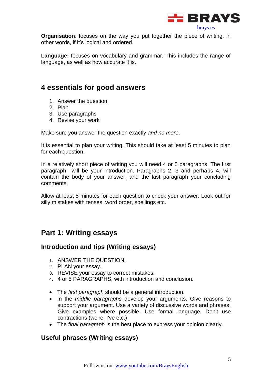

**Organisation**: focuses on the way you put together the piece of writing, in other words, if it's logical and ordered.

**Language:** focuses on vocabulary and grammar. This includes the range of language, as well as how accurate it is.

# <span id="page-4-0"></span>**4 essentials for good answers**

- 1. Answer the question
- 2. Plan
- 3. Use paragraphs
- 4. Revise your work

Make sure you answer the question exactly *and no more*.

It is essential to plan your writing. This should take at least 5 minutes to plan for each question.

In a relatively short piece of writing you will need 4 or 5 paragraphs. The first paragraph will be your introduction. Paragraphs 2, 3 and perhaps 4, will contain the body of your answer, and the last paragraph your concluding comments.

Allow at least 5 minutes for each question to check your answer. Look out for silly mistakes with tenses, word order, spellings etc.

# <span id="page-4-1"></span>**Part 1: Writing essays**

### <span id="page-4-2"></span>**Introduction and tips (Writing essays)**

- 1. ANSWER THE QUESTION.
- 2. PLAN your essay.
- 3. REVISE your essay to correct mistakes.
- 4. 4 or 5 PARAGRAPHS, with introduction and conclusion.
- The *first paragraph* should be a general introduction.
- In the *middle paragraphs* develop your arguments. Give reasons to support your argument. Use a variety of discussive words and phrases. Give examples where possible. Use formal language. Don't use contractions (we're, I've etc.)
- The *final paragraph* is the best place to express your opinion clearly.

### <span id="page-4-3"></span>**Useful phrases (Writing essays)**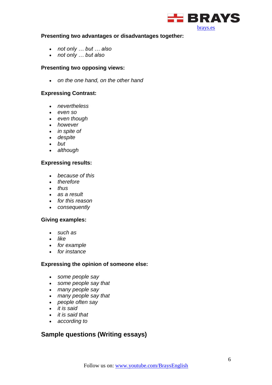

#### **Presenting two advantages or disadvantages together:**

- *not only … but … also*
- *not only … but also*

#### **Presenting two opposing views:**

*on the one hand, on the other hand*

#### **Expressing Contrast:**

- *nevertheless*
- *even so*
- *even though*
- *however*
- *in spite of*
- *despite*
- *but*
- *although*

#### **Expressing results:**

- *because of this*
- *therefore*
- *thus*
- *as a result*
- *for this reason*
- *consequently*

#### **Giving examples:**

- *such as*
- like
- *for example*
- *for instance*

#### **Expressing the opinion of someone else:**

- *some people say*
- *some people say that*
- *many people say*
- *many people say that*
- *people often say*
- *it is said*
- *it is said that*
- *according to*

# <span id="page-5-0"></span>**Sample questions (Writing essays)**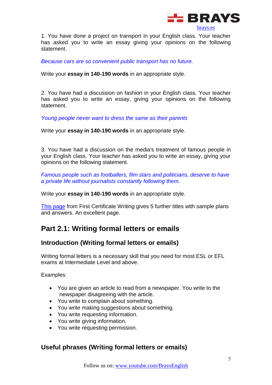

1. You have done a project on transport in your English class. Your teacher has asked you to write an essay giving your opinions on the following statement.

*Because cars are so convenient public transport has no future.* 

Write your **essay in 140-190 words** in an appropriate style.

2. You have had a discussion on fashion in your English class. Your teacher has asked you to write an essay, giving your opinions on the following statement.

*Young people never want to dress the same as their parents*

Write your **essay in 140-190 words** in an appropriate style.

3. You have had a discussion on the media's treatment of famous people in your English class. Your teacher has asked you to write an essay, giving your opinions on the following statement.

*Famous people such as footballers, film stars and politicians, deserve to have a private life without journalists constantly following them.*

Write your **essay in 140-190 words** in an appropriate style.

[This page](http://www.firstcertificatewriting.co.uk/live/paper-2-writing-part-1-essays/) from First Certificate Writing gives 5 further titles with sample plans and answers. An excellent page.

# <span id="page-6-0"></span>**Part 2.1: Writing formal letters or emails**

### <span id="page-6-1"></span>**Introduction (Writing formal letters or emails)**

Writing formal letters is a necessary skill that you need for most ESL or EFL exams at Intermediate Level and above.

Examples:

- You are given an article to read from a newspaper. You write to the newspaper disagreeing with the article.
- You write to complain about something.
- You write making suggestions about something.
- You write requesting information.
- You write giving information.
- You write requesting permission.

# <span id="page-6-2"></span>**Useful phrases (Writing formal letters or emails)**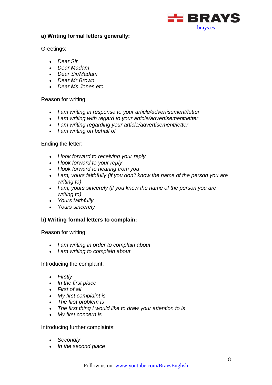

#### **a) Writing formal letters generally:**

Greetings:

- *Dear Sir*
- *Dear Madam*
- *Dear Sir/Madam*
- *Dear Mr Brown*
- *Dear Ms Jones etc.*

#### Reason for writing:

- *I am writing in response to your article/advertisement/letter*
- *I am writing with regard to your article/advertisement/letter*
- *I am writing regarding your article/advertisement/letter*
- *I am writing on behalf of*

#### Ending the letter:

- *I look forward to receiving your reply*
- *I look forward to your reply*
- *I look forward to hearing from you*
- *I am, yours faithfully (if you don't know the name of the person you are writing to)*
- *I am, yours sincerely (if you know the name of the person you are writing to)*
- *Yours faithfully*
- *Yours sincerely*

### **b) Writing formal letters to complain:**

Reason for writing:

- *I am writing in order to complain about*
- *I am writing to complain about*

Introducing the complaint:

- *Firstly*
- *In the first place*
- *First of all*
- *My first complaint is*
- *The first problem is*
- *The first thing I would like to draw your attention to is*
- *My first concern is*

Introducing further complaints:

- *Secondly*
- *In the second place*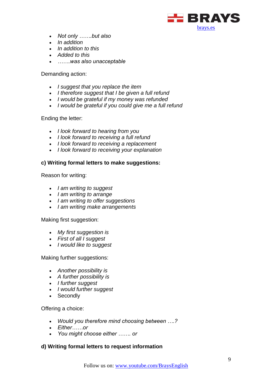

- *Not only …….but also*
- *In addition*
- *In addition to this*
- *Added to this*
- *…….was also unacceptable*

Demanding action:

- *I suggest that you replace the item*
- *I therefore suggest that I be given a full refund*
- *I would be grateful if my money was refunded*
- *I would be grateful if you could give me a full refund*

#### Ending the letter:

- *I look forward to hearing from you*
- *I look forward to receiving a full refund*
- *I look forward to receiving a replacement*
- *I look forward to receiving your explanation*

#### **c) Writing formal letters to make suggestions:**

Reason for writing:

- *I am writing to suggest*
- *I am writing to arrange*
- *I am writing to offer suggestions*
- *I am writing make arrangements*

#### Making first suggestion:

- *My first suggestion is*
- *First of all I suggest*
- *I would like to suggest*

#### Making further suggestions:

- *Another possibility is*
- *A further possibility is*
- *I further suggest*
- *I would further suggest*
- Secondly

#### Offering a choice:

- *Would you therefore mind choosing between ….?*
- *Either……or*
- *You might choose either ……. or*

#### **d) Writing formal letters to request information**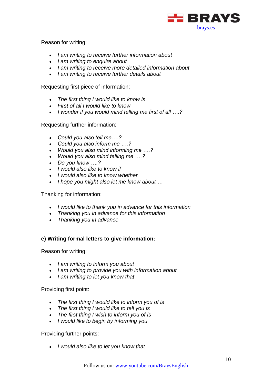

Reason for writing:

- *I am writing to receive further information about*
- *I am writing to enquire about*
- *I am writing to receive more detailed information about*
- *I am writing to receive further details about*

Requesting first piece of information:

- *The first thing I would like to know is*
- *First of all I would like to know*
- *I wonder if you would mind telling me first of all ….?*

Requesting further information:

- *Could you also tell me….?*
- *Could you also inform me ….?*
- *Would you also mind informing me ….?*
- *Would you also mind telling me ….?*
- *Do you know ….?*
- *I would also like to know if*
- *I would also like to know whether*
- *I hope you might also let me know about …*

Thanking for information:

- *I would like to thank you in advance for this information*
- *Thanking you in advance for this information*
- *Thanking you in advance*

#### **e) Writing formal letters to give information:**

Reason for writing:

- *I am writing to inform you about*
- *I am writing to provide you with information about*
- *I am writing to let you know that*

Providing first point:

- *The first thing I would like to inform you of is*
- *The first thing I would like to tell you is*
- *The first thing I wish to inform you of is*
- *I would like to begin by informing you*

Providing further points:

*I would also like to let you know that*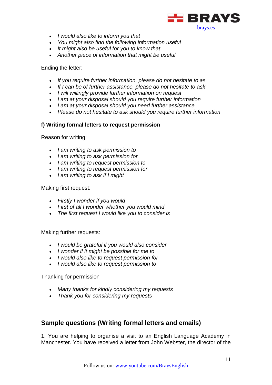

- *I would also like to inform you that*
- *You might also find the following information useful*
- *It might also be useful for you to know that*
- *Another piece of information that might be useful*

#### Ending the letter:

- *If you require further information, please do not hesitate to as*
- *If I can be of further assistance, please do not hesitate to ask*
- *I will willingly provide further information on request*
- *I am at your disposal should you require further information*
- *I am at your disposal should you need further assistance*
- *Please do not hesitate to ask should you require further information*

#### **f) Writing formal letters to request permission**

Reason for writing:

- *I am writing to ask permission to*
- *I am writing to ask permission for*
- *I am writing to request permission to*
- *I am writing to request permission for*
- *I am writing to ask if I might*

#### Making first request:

- *Firstly I wonder if you would*
- *First of all I wonder whether you would mind*
- *The first request I would like you to consider is*

Making further requests:

- *I would be grateful if you would also consider*
- *I wonder if it might be possible for me to*
- *I would also like to request permission for*
- *I would also like to request permission to*

Thanking for permission

- *Many thanks for kindly considering my requests*
- *Thank you for considering my requests*

### <span id="page-10-0"></span>**Sample questions (Writing formal letters and emails)**

1. You are helping to organise a visit to an English Language Academy in Manchester. You have received a letter from John Webster, the director of the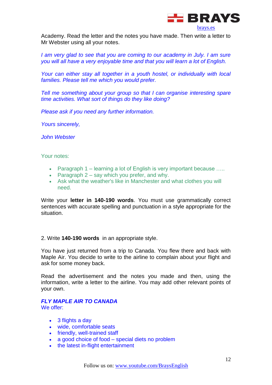

Academy. Read the letter and the notes you have made. Then write a letter to Mr Webster using all your notes.

*I am very glad to see that you are coming to our academy in July. I am sure you will all have a very enjoyable time and that you will learn a lot of English.*

*Your can either stay all together in a youth hostel, or individually with local families. Please tell me which you would prefer.*

*Tell me something about your group so that I can organise interesting spare time activities. What sort of things do they like doing?*

*Please ask if you need any further information.*

*Yours sincerely,*

*John Webster*

Your notes:

- Paragraph 1 learning a lot of English is very important because .....
- Paragraph  $2 say$  which you prefer, and why.
- Ask what the weather's like in Manchester and what clothes you will need.

Write your **letter in 140-190 words**. You must use grammatically correct sentences with accurate spelling and punctuation in a style appropriate for the situation.

#### 2. Write **140-190 words** in an appropriate style.

You have just returned from a trip to Canada. You flew there and back with Maple Air. You decide to write to the airline to complain about your flight and ask for some money back.

Read the advertisement and the notes you made and then, using the information, write a letter to the airline. You may add other relevant points of your own.

### *FLY MAPLE AIR TO CANADA*

We offer:

- 3 flights a day
- wide, comfortable seats
- friendly, well-trained staff
- a good choice of food special diets no problem
- the latest in-flight entertainment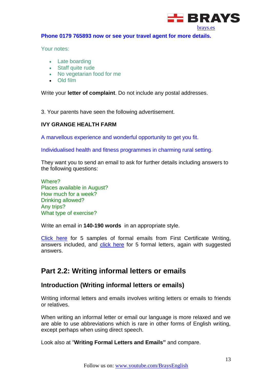

#### **Phone 0179 765893 now or see your travel agent for more details.**

Your notes:

- Late boarding
- Staff quite rude
- No vegetarian food for me
- Old film

Write your **letter of complaint**. Do not include any postal addresses.

3. Your parents have seen the following advertisement.

#### **IVY GRANGE HEALTH FARM**

A marvellous experience and wonderful opportunity to get you fit.

Individualised health and fitness programmes in charming rural setting.

They want you to send an email to ask for further details including answers to the following questions:

Where? Places available in August? How much for a week? Drinking allowed? Any trips? What type of exercise?

Write an email in **140-190 words** in an appropriate style.

[Click here](http://www.firstcertificatewriting.co.uk/live/paper-2-writing-part-2-formal-email/) for 5 samples of formal emails from First Certificate Writing, answers included, and [click here](http://www.firstcertificatewriting.co.uk/live/paper-2-writing-part-2-formal-letter/) for 5 formal letters, again with suggested answers.

# <span id="page-12-0"></span>**Part 2.2: Writing informal letters or emails**

### <span id="page-12-1"></span>**Introduction (Writing informal letters or emails)**

Writing informal letters and emails involves writing letters or emails to friends or relatives.

When writing an informal letter or email our language is more relaxed and we are able to use abbreviations which is rare in other forms of English writing, except perhaps when using direct speech.

Look also at "**Writing Formal Letters and Emails"** and compare.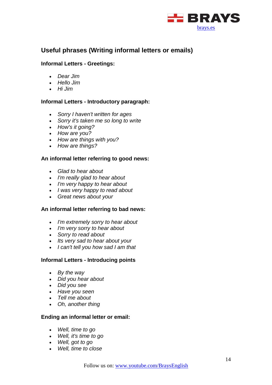

# <span id="page-13-0"></span>**Useful phrases (Writing informal letters or emails)**

#### **Informal Letters - Greetings:**

- *Dear Jim*
- *Hello Jim*
- *Hi Jim*

#### **Informal Letters - Introductory paragraph:**

- *Sorry I haven't written for ages*
- *Sorry it's taken me so long to write*
- *How's it going?*
- *How are you?*
- *How are things with you?*
- *How are things?*

#### **An informal letter referring to good news:**

- *Glad to hear about*
- *I'm really glad to hear about*
- *I'm very happy to hear about*
- *I was very happy to read about*
- *Great news about your*

#### **An informal letter referring to bad news:**

- *I'm extremely sorry to hear about*
- *I'm very sorry to hear about*
- *Sorry to read about*
- *Its very sad to hear about your*
- *I can't tell you how sad I am that*

#### **Informal Letters - Introducing points**

- *By the way*
- *Did you hear about*
- *Did you see*
- *Have you seen*
- *Tell me about*
- *Oh, another thing*

#### **Ending an informal letter or email:**

- *Well, time to go*
- *Well, it's time to go*
- *Well, got to go*
- *Well, time to close*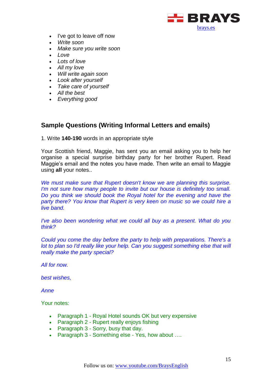

- I've got to leave off now
- *Write soon*
- *Make sure you write soon*
- *Love*
- *Lots of love*
- *All my love*
- *Will write again soon*
- *Look after yourself*
- *Take care of yourself*
- *All the best*
- *Everything good*

# <span id="page-14-0"></span>**Sample Questions (Writing Informal Letters and emails)**

1. Write **140-190** words in an appropriate style

Your Scottish friend, Maggie, has sent you an email asking you to help her organise a special surprise birthday party for her brother Rupert. Read Maggie's email and the notes you have made. Then write an email to Maggie using **all** your notes..

*We must make sure that Rupert doesn't know we are planning this surprise. I'm not sure how many people to invite but our house is definitely too small. Do you think we should book the Royal hotel for the evening and have the party there? You know that Rupert is very keen on music so we could hire a live band.*

*I've also been wondering what we could all buy as a present. What do you think?* 

*Could you come the day before the party to help with preparations. There's a lot to plan so I'd really like your help. Can you suggest something else that will really make the party special?* 

*All for now.*

*best wishes,*

*Anne*

Your notes:

- Paragraph 1 Royal Hotel sounds OK but very expensive
- Paragraph 2 Rupert really enjoys fishing
- Paragraph 3 Sorry, busy that day.
- Paragraph 3 Something else Yes, how about ....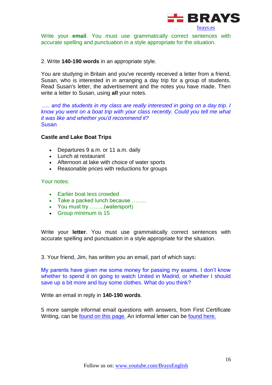

Write your **email**. You must use grammatically correct sentences with accurate spelling and punctuation in a style appropriate for the situation.

#### 2. Write **140-190 words** in an appropriate style.

You are studying in Britain and you've recently received a letter from a friend, Susan, who is interested in in arranging a day trip for a group of students. Read Susan's letter, the advertisement and the notes you have made. Then write a letter to Susan, using **all** your notes.

..... and the students in my class are really interested in going on a day trip. I *know you went on a boat trip with your class recently. Could you tell me what it was like and whether you'd recommend it?*  Susan

#### **Castle and Lake Boat Trips**

- Departures 9 a.m. or 11 a.m. daily
- Lunch at restaurant
- Afternoon at lake with choice of water sports
- Reasonable prices with reductions for groups

#### Your notes:

- Farlier boat less crowded
- Take a packed lunch because ........
- You must try ……..(watersport)
- Group minimum is 15

Write your **letter**. You must use grammatically correct sentences with accurate spelling and punctuation in a style appropriate for the situation.

3. Your friend, Jim, has written you an email, part of which says:

My parents have given me some money for passing my exams. I don't know whether to spend it on going to watch United in Madrid, or whether I should save up a bit more and buy some clothes. What do you think?

Write an email in reply in **140-190 words**.

5 more sample informal email questions with answers, from First Certificate Writing, can be [found on this page.](http://www.firstcertificatewriting.co.uk/live/paper-2-writing-part-2-informal-email/) An informal letter can be [found here.](http://www.firstcertificatewriting.co.uk/live/part-2-informal-letter-7/)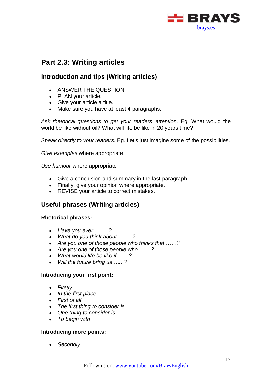

# <span id="page-16-0"></span>**Part 2.3: Writing articles**

# <span id="page-16-1"></span>**Introduction and tips (Writing articles)**

- **ANSWER THE QUESTION**
- PLAN your article.
- Give your article a title.
- Make sure you have at least 4 paragraphs.

*Ask rhetorical questions to get your readers' attention.* Eg. What would the world be like without oil? What will life be like in 20 years time?

*Speak directly to your readers.* Eg. Let's just imagine some of the possibilities.

*Give examples* where appropriate.

*Use humour* where appropriate

- Give a conclusion and summary in the last paragraph.
- Finally, give your opinion where appropriate.
- REVISE your article to correct mistakes.

# <span id="page-16-2"></span>**Useful phrases (Writing articles)**

#### **Rhetorical phrases:**

- *Have you ever ……..?*
- *What do you think about ……..?*
- *Are you one of those people who thinks that ……?*
- *Are you one of those people who …....?*
- *What would life be like if ……?*
- *Will the future bring us ….. ?*

#### **Introducing your first point:**

- *Firstly*
- *In the first place*
- *First of all*
- *The first thing to consider is*
- *One thing to consider is*
- *To begin with*

#### **Introducing more points:**

*Secondly*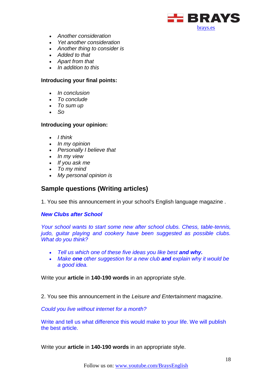

- *Another consideration*
- *Yet another consideration*
- *Another thing to consider is*
- *Added to that*
- *Apart from that*
- *In addition to this*

#### **Introducing your final points:**

- *In conclusion*
- *To conclude*
- *To sum up*
- *So*

#### **Introducing your opinion:**

- *I think*
- *In my opinion*
- *Personally I believe that*
- *In my view*
- *If you ask me*
- *To my mind*
- *My personal opinion is*

### <span id="page-17-0"></span>**Sample questions (Writing articles)**

1. You see this announcement in your school's English language magazine .

#### *New Clubs after School*

*Your school wants to start some new after school clubs. Chess, table-tennis, judo, guitar playing and cookery have been suggested as possible clubs. What do you think?*

- *Tell us which one of these five ideas you like best and why.*
- *Make one other suggestion for a new club and explain why it would be a good idea.*

Write your **article** in **140-190 words** in an appropriate style.

2. You see this announcement in the *Leisure and Entertainment* magazine.

*Could you live without internet for a month?*

Write and tell us what difference this would make to your life. We will publish the best article.

Write your **article** in **140-190 words** in an appropriate style.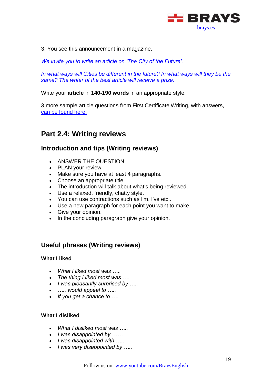

3. You see this announcement in a magazine.

*We invite you to write an article on 'The City of the Future'.*

In what ways will Cities be different in the future? In what ways will they be the *same? The writer of the best article will receive a prize.*

Write your **article** in **140-190 words** in an appropriate style.

3 more sample article questions from First Certificate Writing, with answers, [can be found here.](http://www.firstcertificatewriting.co.uk/live/paper-2-writing-part-1-articles/)

# <span id="page-18-0"></span>**Part 2.4: Writing reviews**

# <span id="page-18-1"></span>**Introduction and tips (Writing reviews)**

- **ANSWER THE QUESTION**
- PLAN your review.
- Make sure you have at least 4 paragraphs.
- Choose an appropriate title.
- The introduction will talk about what's being reviewed.
- Use a relaxed, friendly, chatty style.
- You can use contractions such as I'm, I've etc..
- Use a new paragraph for each point you want to make.
- Give your opinion.
- In the concluding paragraph give your opinion.

# <span id="page-18-2"></span>**Useful phrases (Writing reviews)**

#### **What I liked**

- *What I liked most was …..*
- *The thing I liked most was ….*
- *I was pleasantly surprised by …..*
- *….. would appeal to …..*
- *If you get a chance to ….*

#### **What I disliked**

- *What I disliked most was …..*
- *I was disappointed by ……*
- *I was disappointed with …..*
- *I was very disappointed by …..*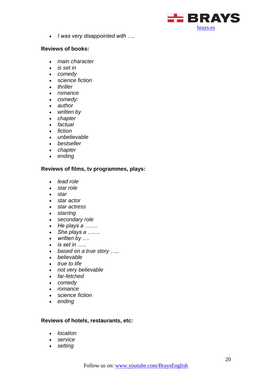

*I was very disappointed with ….* 

#### **Reviews of books:**

- *main character*
- *is set in*
- *comedy*
- *science fiction*
- *thriller*
- *romance*
- *comedy:*
- *author*
- *written by*
- *chapter*
- *factual*
- *fiction*
- *unbelievable*
- *bestseller*
- *chapter*
- *ending*

#### **Reviews of films, tv programmes, plays:**

- *lead role*
- *star role*
- *star*
- *star actor*
- *star actress*
- *starring*
- *secondary role*
- *He plays a …….*
- *She plays a …….*
- *written by ….*
- *is set in …..*
- *based on a true story …..*
- *believable*
- *true to life*
- *not very believable*
- *far-fetched*
- *comedy*
- *romance*
- *science fiction*
- *ending*

#### **Reviews of hotels, restaurants, etc:**

- *location*
- *service*
- *setting*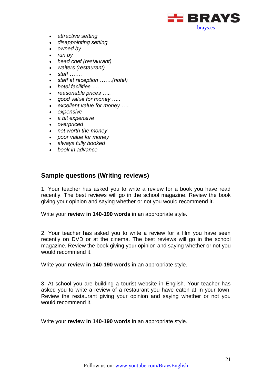

- *attractive setting*
- *disappointing setting*
- *owned by*
- *run by*
- *head chef (restaurant)*
- *waiters (restaurant)*
- *staff …….*
- *staff at reception …….(hotel)*
- *hotel facilities ….*
- *reasonable prices …..*
- *good value for money …..*
- *excellent value for money …..*
- *expensive*
- *a bit expensive*
- *overpriced*
- *not worth the money*
- *poor value for money*
- *always fully booked*
- *book in advance*

# <span id="page-20-0"></span>**Sample questions (Writing reviews)**

1. Your teacher has asked you to write a review for a book you have read recently. The best reviews will go in the school magazine. Review the book giving your opinion and saying whether or not you would recommend it.

Write your **review in 140-190 words** in an appropriate style.

2. Your teacher has asked you to write a review for a film you have seen recently on DVD or at the cinema. The best reviews will go in the school magazine. Review the book giving your opinion and saying whether or not you would recommend it.

Write your **review in 140-190 words** in an appropriate style.

3. At school you are building a tourist website in English. Your teacher has asked you to write a review of a restaurant you have eaten at in your town. Review the restaurant giving your opinion and saying whether or not you would recommend it.

Write your **review in 140-190 words** in an appropriate style.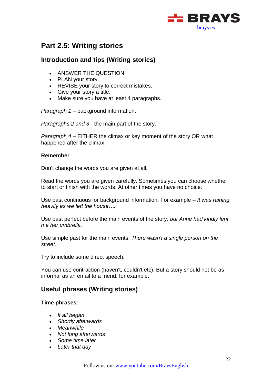

# <span id="page-21-0"></span>**Part 2.5: Writing stories**

# <span id="page-21-1"></span>**Introduction and tips (Writing stories)**

- ANSWER THE QUESTION
- PLAN your story.
- REVISE your story to correct mistakes.
- Give your story a title.
- Make sure you have at least 4 paragraphs.

*Paragraph 1* – background information.

*Paragraphs 2 and 3* - the main part of the story.

*Paragraph 4* – EITHER the climax or key moment of the story OR what happened after the climax.

#### **Remember**

Don't change the words you are given at all.

Read the words you are given carefully. Sometimes you can choose whether to start or finish with the words. At other times you have no choice.

Use past continuous for background information. For example – *It was raining heavily as we left the house….*

Use past perfect before the main events of the story. *but Anne had kindly lent me her umbrella.*

Use simple past for the main events. *There wasn't a single person on the street.*

Try to include some direct speech.

You can use contraction (haven't, couldn't etc). But a story should not be as informal as an email to a friend, for example.

### <span id="page-21-2"></span>**Useful phrases (Writing stories)**

#### **Time phrases:**

- *It all began*
- *Shortly afterwards*
- *Meanwhile*
- *Not long afterwards*
- *Some time later*
- *Later that day*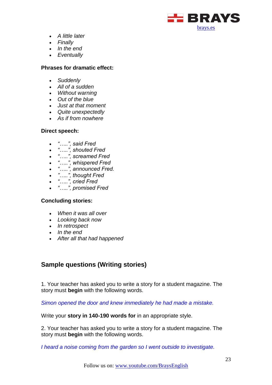

- *A little later*
- *Finally*
- *In the end*
- *Eventually*

#### **Phrases for dramatic effect:**

- *Suddenly*
- *All of a sudden*
- *Without warning*
- *Out of the blue*
- *Just at that moment*
- *Quite unexpectedly*
- *As if from nowhere*

#### **Direct speech:**

- *"…..", said Fred*
- *"…..", shouted Fred*
- *"…..", screamed Fred*
- *"…..", whispered Fred*
- *"…..", announced Fred.*
- *"…..", thought Fred*
- *"…..", cried Fred*
- *"…..", promised Fred*

#### **Concluding stories:**

- *When it was all over*
- *Looking back now*
- *In retrospect*
- *In the end*
- *After all that had happened*

# <span id="page-22-0"></span>**Sample questions (Writing stories)**

1. Your teacher has asked you to write a story for a student magazine. The story must **begin** with the following words.

*Simon opened the door and knew immediately he had made a mistake.* 

Write your **story in 140-190 words for** in an appropriate style.

2. Your teacher has asked you to write a story for a student magazine. The story must **begin** with the following words.

*I heard a noise coming from the garden so I went outside to investigate.*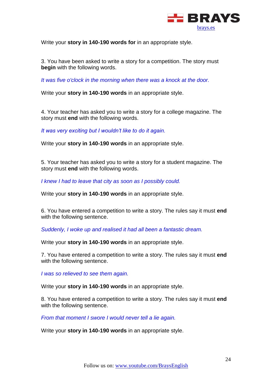

Write your **story in 140-190 words for** in an appropriate style.

3. You have been asked to write a story for a competition. The story must **begin** with the following words.

*It was five o'clock in the morning when there was a knock at the door.*

Write your **story in 140-190 words** in an appropriate style.

4. Your teacher has asked you to write a story for a college magazine. The story must **end** with the following words.

*It was very exciting but I wouldn't like to do it again.* 

Write your **story in 140-190 words** in an appropriate style.

5. Your teacher has asked you to write a story for a student magazine. The story must **end** with the following words.

*I knew I had to leave that city as soon as I possibly could.* 

Write your **story in 140-190 words** in an appropriate style.

6. You have entered a competition to write a story. The rules say it must **end**  with the following sentence.

*Suddenly, I woke up and realised it had all been a fantastic dream.*

Write your **story in 140-190 words** in an appropriate style.

7. You have entered a competition to write a story. The rules say it must **end**  with the following sentence.

*I was so relieved to see them again.*

Write your **story in 140-190 words** in an appropriate style.

8. You have entered a competition to write a story. The rules say it must **end**  with the following sentence.

*From that moment I swore I would never tell a lie again.*

Write your **story in 140-190 words** in an appropriate style.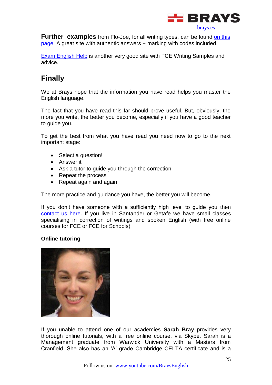

**Further examples** from Flo-Joe, for all writing types, can be found on this [page.](http://www.flo-joe.co.uk/fce/students/writing/makeover/archive.htm) A great site with authentic answers + marking with codes included.

**[Exam English Help](http://englishexamhelp.com/fce-writing/)** is another very good site with FCE Writing Samples and advice.

# <span id="page-24-0"></span>**Finally**

We at Brays hope that the information you have read helps you master the English language.

The fact that you have read this far should prove useful. But, obviously, the more you write, the better you become, especially if you have a good teacher to quide you.

To get the best from what you have read you need now to go to the next important stage:

- Select a question!
- Answer it
- Ask a tutor to guide you through the correction
- Repeat the process
- Repeat again and again

The more practice and guidance you have, the better you will become.

If you don't have someone with a sufficiently high level to guide you then [contact us here.](http://brays.es/contacto) If you live in Santander or Getafe we have small classes specialising in correction of writings and spoken English (with free online courses for FCE or FCE for Schools)

### **Online tutoring**



If you unable to attend one of our academies **Sarah Bray** provides very thorough online tutorials, with a free online course, via Skype. Sarah is a Management graduate from Warwick University with a Masters from Cranfield. She also has an 'A' grade Cambridge CELTA certificate and is a